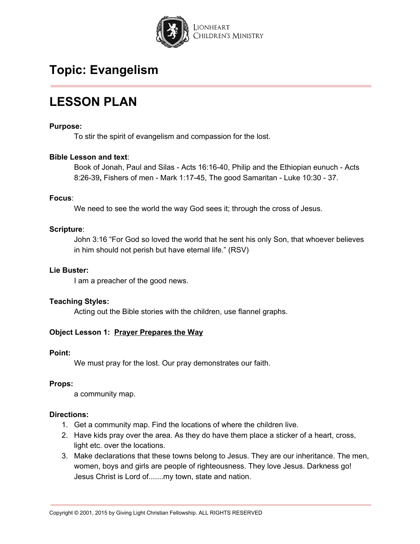

# **LESSON PLAN**

## **Purpose:**

To stir the spirit of evangelism and compassion for the lost.

## **Bible Lesson and text**:

Book of Jonah, Paul and Silas - Acts 16:16-40, Philip and the Ethiopian eunuch - Acts 8:26-39**,** Fishers of men - Mark 1:17-45, The good Samaritan - Luke 10:30 - 37.

## **Focus**:

We need to see the world the way God sees it; through the cross of Jesus.

## **Scripture**:

John 3:16 "For God so loved the world that he sent his only Son, that whoever believes in him should not perish but have eternal life." (RSV)

## **Lie Buster:**

I am a preacher of the good news.

## **Teaching Styles:**

Acting out the Bible stories with the children, use flannel graphs.

# **Object Lesson 1: Prayer Prepares the Way**

## **Point:**

We must pray for the lost. Our pray demonstrates our faith.

## **Props:**

a community map.

## **Directions:**

- 1. Get a community map. Find the locations of where the children live.
- 2. Have kids pray over the area. As they do have them place a sticker of a heart, cross, light etc. over the locations.
- 3. Make declarations that these towns belong to Jesus. They are our inheritance. The men, women, boys and girls are people of righteousness. They love Jesus. Darkness go! Jesus Christ is Lord of.......my town, state and nation.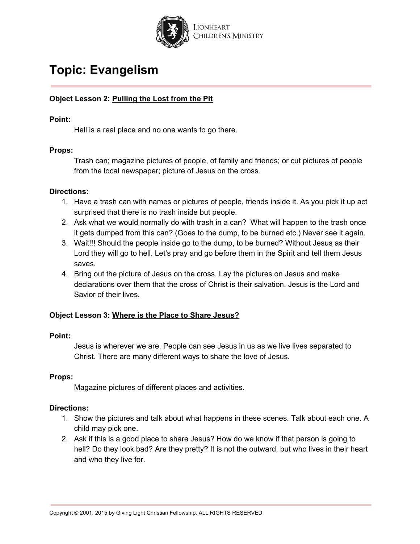

# **Object Lesson 2: Pulling the Lost from the Pit**

## **Point:**

Hell is a real place and no one wants to go there.

## **Props:**

Trash can; magazine pictures of people, of family and friends; or cut pictures of people from the local newspaper; picture of Jesus on the cross.

## **Directions:**

- 1. Have a trash can with names or pictures of people, friends inside it. As you pick it up act surprised that there is no trash inside but people.
- 2. Ask what we would normally do with trash in a can? What will happen to the trash once it gets dumped from this can? (Goes to the dump, to be burned etc.) Never see it again.
- 3. Wait!!! Should the people inside go to the dump, to be burned? Without Jesus as their Lord they will go to hell. Let's pray and go before them in the Spirit and tell them Jesus saves.
- 4. Bring out the picture of Jesus on the cross. Lay the pictures on Jesus and make declarations over them that the cross of Christ is their salvation. Jesus is the Lord and Savior of their lives.

## **Object Lesson 3: Where is the Place to Share Jesus?**

## **Point:**

Jesus is wherever we are. People can see Jesus in us as we live lives separated to Christ. There are many different ways to share the love of Jesus.

## **Props:**

Magazine pictures of different places and activities.

## **Directions:**

- 1. Show the pictures and talk about what happens in these scenes. Talk about each one. A child may pick one.
- 2. Ask if this is a good place to share Jesus? How do we know if that person is going to hell? Do they look bad? Are they pretty? It is not the outward, but who lives in their heart and who they live for.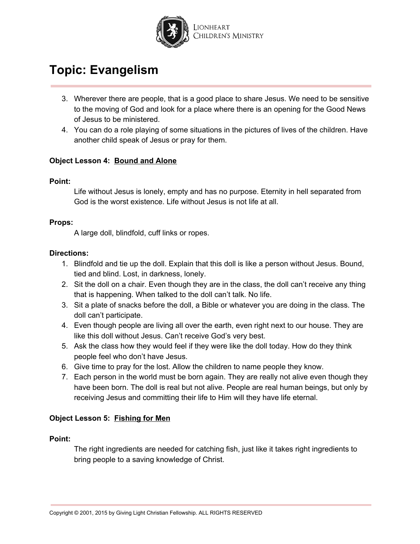

- 3. Wherever there are people, that is a good place to share Jesus. We need to be sensitive to the moving of God and look for a place where there is an opening for the Good News of Jesus to be ministered.
- 4. You can do a role playing of some situations in the pictures of lives of the children. Have another child speak of Jesus or pray for them.

# **Object Lesson 4: Bound and Alone**

## **Point:**

Life without Jesus is lonely, empty and has no purpose. Eternity in hell separated from God is the worst existence. Life without Jesus is not life at all.

# **Props:**

A large doll, blindfold, cuff links or ropes.

## **Directions:**

- 1. Blindfold and tie up the doll. Explain that this doll is like a person without Jesus. Bound, tied and blind. Lost, in darkness, lonely.
- 2. Sit the doll on a chair. Even though they are in the class, the doll can't receive any thing that is happening. When talked to the doll can't talk. No life.
- 3. Sit a plate of snacks before the doll, a Bible or whatever you are doing in the class. The doll can't participate.
- 4. Even though people are living all over the earth, even right next to our house. They are like this doll without Jesus. Can't receive God's very best.
- 5. Ask the class how they would feel if they were like the doll today. How do they think people feel who don't have Jesus.
- 6. Give time to pray for the lost. Allow the children to name people they know.
- 7. Each person in the world must be born again. They are really not alive even though they have been born. The doll is real but not alive. People are real human beings, but only by receiving Jesus and committing their life to Him will they have life eternal.

# **Object Lesson 5: Fishing for Men**

## **Point:**

The right ingredients are needed for catching fish, just like it takes right ingredients to bring people to a saving knowledge of Christ.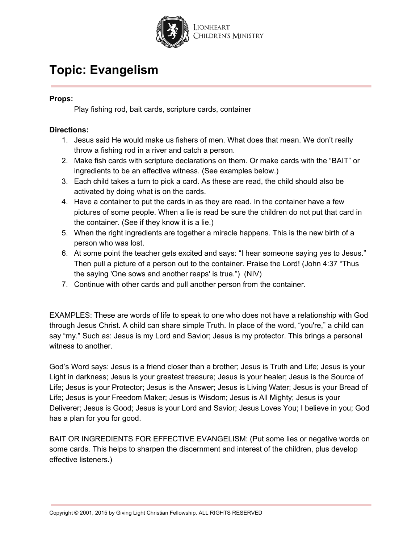

# **Props:**

Play fishing rod, bait cards, scripture cards, container

# **Directions:**

- 1. Jesus said He would make us fishers of men. What does that mean. We don't really throw a fishing rod in a river and catch a person.
- 2. Make fish cards with scripture declarations on them. Or make cards with the "BAIT" or ingredients to be an effective witness. (See examples below.)
- 3. Each child takes a turn to pick a card. As these are read, the child should also be activated by doing what is on the cards.
- 4. Have a container to put the cards in as they are read. In the container have a few pictures of some people. When a lie is read be sure the children do not put that card in the container. (See if they know it is a lie.)
- 5. When the right ingredients are together a miracle happens. This is the new birth of a person who was lost.
- 6. At some point the teacher gets excited and says: "I hear someone saying yes to Jesus." Then pull a picture of a person out to the container. Praise the Lord! (John 4:37 "Thus the saying 'One sows and another reaps' is true.") (NIV)
- 7. Continue with other cards and pull another person from the container.

EXAMPLES: These are words of life to speak to one who does not have a relationship with God through Jesus Christ. A child can share simple Truth. In place of the word, "you're," a child can say "my." Such as: Jesus is my Lord and Savior; Jesus is my protector. This brings a personal witness to another.

God's Word says: Jesus is a friend closer than a brother; Jesus is Truth and Life; Jesus is your Light in darkness; Jesus is your greatest treasure; Jesus is your healer; Jesus is the Source of Life; Jesus is your Protector; Jesus is the Answer; Jesus is Living Water; Jesus is your Bread of Life; Jesus is your Freedom Maker; Jesus is Wisdom; Jesus is All Mighty; Jesus is your Deliverer; Jesus is Good; Jesus is your Lord and Savior; Jesus Loves You; I believe in you; God has a plan for you for good.

BAIT OR INGREDIENTS FOR EFFECTIVE EVANGELISM: (Put some lies or negative words on some cards. This helps to sharpen the discernment and interest of the children, plus develop effective listeners.)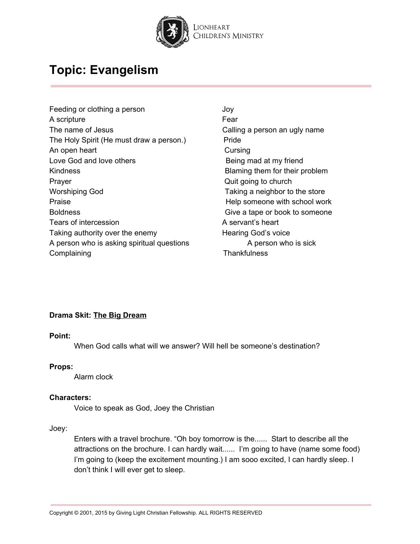

- Feeding or clothing a person Theorem Controllery and Joy A scripture Fear The name of Jesus **Calling a person an ugly name** The Holy Spirit (He must draw a person.) Pride An open heart **Cursing** Love God and love others **Being mad at my friend** Kindness Blaming them for their problem Prayer **Prayer** Construction Construction Construction Construction Construction Construction Construction Construction Construction Construction Construction Construction Construction Construction Construction Constructio Worshiping God **Taking a neighbor to the store** Praise **Praise Help someone** with school work Boldness Boldness Give a tape or book to someone Tears of intercession Tears are a servant's heart Taking authority over the enemy **Hearing God's voice** A person who is asking spiritual questions The M and Series A person who is sick Complaining Complaining Complaining Complaining Complaining Complainting Complainting Complainting Complainting Complainting Complainting Complainting Complainting Complainting Complainting Complainting Complainting Compla
	-

# **Drama Skit: The Big Dream**

#### **Point:**

When God calls what will we answer? Will hell be someone's destination?

## **Props:**

Alarm clock

#### **Characters:**

Voice to speak as God, Joey the Christian

Joey:

Enters with a travel brochure. "Oh boy tomorrow is the...... Start to describe all the attractions on the brochure. I can hardly wait...... I'm going to have (name some food) I'm going to (keep the excitement mounting.) I am sooo excited, I can hardly sleep. I don't think I will ever get to sleep.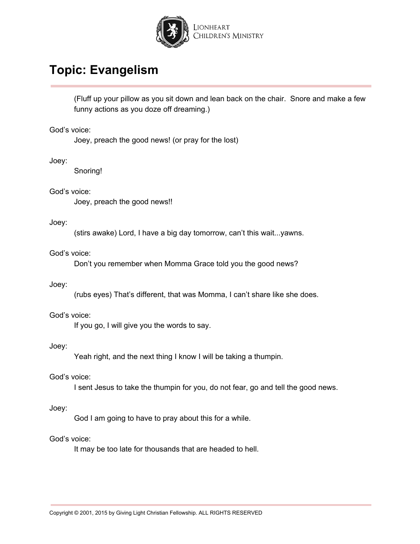

(Fluff up your pillow as you sit down and lean back on the chair. Snore and make a few funny actions as you doze off dreaming.)

God's voice:

Joey, preach the good news! (or pray for the lost)

Joey:

Snoring!

God's voice:

Joey, preach the good news!!

## Joey:

(stirs awake) Lord, I have a big day tomorrow, can't this wait...yawns.

## God's voice:

Don't you remember when Momma Grace told you the good news?

#### Joey:

(rubs eyes) That's different, that was Momma, I can't share like she does.

## God's voice:

If you go, I will give you the words to say.

#### Joey:

Yeah right, and the next thing I know I will be taking a thumpin.

#### God's voice:

I sent Jesus to take the thumpin for you, do not fear, go and tell the good news.

#### Joey:

God I am going to have to pray about this for a while.

## God's voice:

It may be too late for thousands that are headed to hell.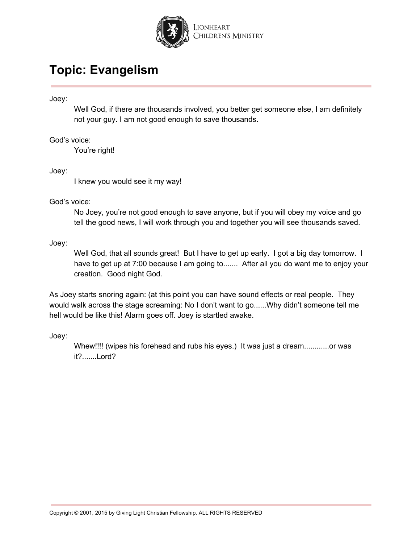

Joey:

Well God, if there are thousands involved, you better get someone else, I am definitely not your guy. I am not good enough to save thousands.

God's voice:

You're right!

Joey:

I knew you would see it my way!

God's voice:

No Joey, you're not good enough to save anyone, but if you will obey my voice and go tell the good news, I will work through you and together you will see thousands saved.

Joey:

Well God, that all sounds great! But I have to get up early. I got a big day tomorrow. I have to get up at 7:00 because I am going to....... After all you do want me to enjoy your creation. Good night God.

As Joey starts snoring again: (at this point you can have sound effects or real people. They would walk across the stage screaming: No I don't want to go......Why didn't someone tell me hell would be like this! Alarm goes off. Joey is startled awake.

Joey:

Whew!!!! (wipes his forehead and rubs his eyes.) It was just a dream.............or was it?.......Lord?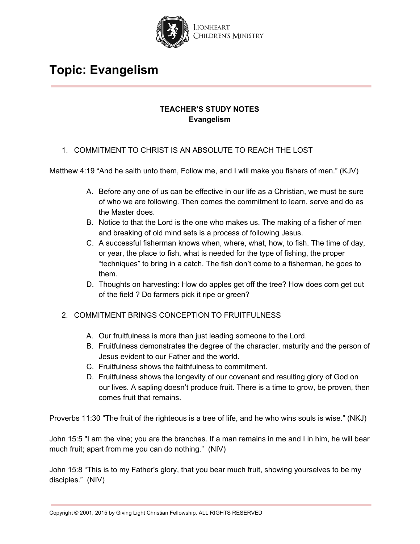

# **TEACHER'S STUDY NOTES Evangelism**

## 1. COMMITMENT TO CHRIST IS AN ABSOLUTE TO REACH THE LOST

Matthew 4:19 "And he saith unto them, Follow me, and I will make you fishers of men." (KJV)

- A. Before any one of us can be effective in our life as a Christian, we must be sure of who we are following. Then comes the commitment to learn, serve and do as the Master does.
- B. Notice to that the Lord is the one who makes us. The making of a fisher of men and breaking of old mind sets is a process of following Jesus.
- C. A successful fisherman knows when, where, what, how, to fish. The time of day, or year, the place to fish, what is needed for the type of fishing, the proper "techniques" to bring in a catch. The fish don't come to a fisherman, he goes to them.
- D. Thoughts on harvesting: How do apples get off the tree? How does corn get out of the field ? Do farmers pick it ripe or green?

# 2. COMMITMENT BRINGS CONCEPTION TO FRUITFULNESS

- A. Our fruitfulness is more than just leading someone to the Lord.
- B. Fruitfulness demonstrates the degree of the character, maturity and the person of Jesus evident to our Father and the world.
- C. Fruitfulness shows the faithfulness to commitment.
- D. Fruitfulness shows the longevity of our covenant and resulting glory of God on our lives. A sapling doesn't produce fruit. There is a time to grow, be proven, then comes fruit that remains.

Proverbs 11:30 "The fruit of the righteous is a tree of life, and he who wins souls is wise." (NKJ)

John 15:5 "I am the vine; you are the branches. If a man remains in me and I in him, he will bear much fruit; apart from me you can do nothing." (NIV)

John 15:8 "This is to my Father's glory, that you bear much fruit, showing yourselves to be my disciples." (NIV)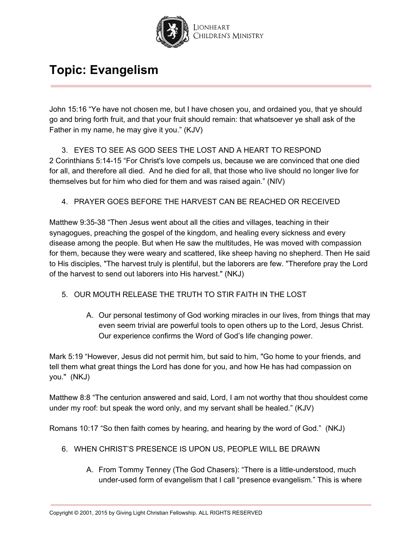

John 15:16 "Ye have not chosen me, but I have chosen you, and ordained you, that ye should go and bring forth fruit, and that your fruit should remain: that whatsoever ye shall ask of the Father in my name, he may give it you." (KJV)

3. EYES TO SEE AS GOD SEES THE LOST AND A HEART TO RESPOND 2 Corinthians 5:14-15 "For Christ's love compels us, because we are convinced that one died for all, and therefore all died. And he died for all, that those who live should no longer live for themselves but for him who died for them and was raised again." (NIV)

# 4. PRAYER GOES BEFORE THE HARVEST CAN BE REACHED OR RECEIVED

Matthew 9:35-38 "Then Jesus went about all the cities and villages, teaching in their synagogues, preaching the gospel of the kingdom, and healing every sickness and every disease among the people. But when He saw the multitudes, He was moved with compassion for them, because they were weary and scattered, like sheep having no shepherd. Then He said to His disciples, "The harvest truly is plentiful, but the laborers are few. "Therefore pray the Lord of the harvest to send out laborers into His harvest." (NKJ)

# 5. OUR MOUTH RELEASE THE TRUTH TO STIR FAITH IN THE LOST

A. Our personal testimony of God working miracles in our lives, from things that may even seem trivial are powerful tools to open others up to the Lord, Jesus Christ. Our experience confirms the Word of God's life changing power.

Mark 5:19 "However, Jesus did not permit him, but said to him, "Go home to your friends, and tell them what great things the Lord has done for you, and how He has had compassion on you." (NKJ)

Matthew 8:8 "The centurion answered and said, Lord, I am not worthy that thou shouldest come under my roof: but speak the word only, and my servant shall be healed." (KJV)

Romans 10:17 "So then faith comes by hearing, and hearing by the word of God." (NKJ)

- 6. WHEN CHRIST'S PRESENCE IS UPON US, PEOPLE WILL BE DRAWN
	- A. From Tommy Tenney (The God Chasers): "There is a little-understood, much under-used form of evangelism that I call "presence evangelism." This is where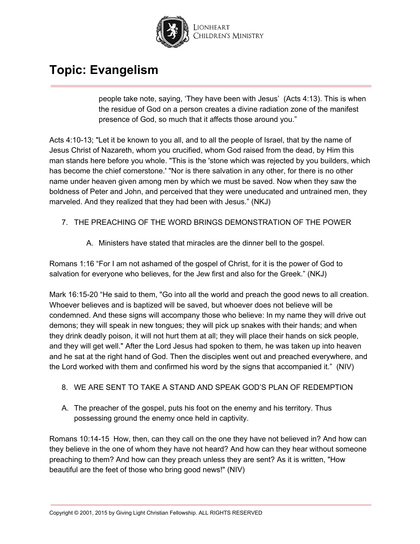

people take note, saying, 'They have been with Jesus' (Acts 4:13). This is when the residue of God on a person creates a divine radiation zone of the manifest presence of God, so much that it affects those around you."

Acts 4:10-13; "Let it be known to you all, and to all the people of Israel, that by the name of Jesus Christ of Nazareth, whom you crucified, whom God raised from the dead, by Him this man stands here before you whole. "This is the 'stone which was rejected by you builders, which has become the chief cornerstone.' "Nor is there salvation in any other, for there is no other name under heaven given among men by which we must be saved. Now when they saw the boldness of Peter and John, and perceived that they were uneducated and untrained men, they marveled. And they realized that they had been with Jesus." (NKJ)

# 7. THE PREACHING OF THE WORD BRINGS DEMONSTRATION OF THE POWER

A. Ministers have stated that miracles are the dinner bell to the gospel.

Romans 1:16 "For I am not ashamed of the gospel of Christ, for it is the power of God to salvation for everyone who believes, for the Jew first and also for the Greek." (NKJ)

Mark 16:15-20 "He said to them, "Go into all the world and preach the good news to all creation. Whoever believes and is baptized will be saved, but whoever does not believe will be condemned. And these signs will accompany those who believe: In my name they will drive out demons; they will speak in new tongues; they will pick up snakes with their hands; and when they drink deadly poison, it will not hurt them at all; they will place their hands on sick people, and they will get well." After the Lord Jesus had spoken to them, he was taken up into heaven and he sat at the right hand of God. Then the disciples went out and preached everywhere, and the Lord worked with them and confirmed his word by the signs that accompanied it." (NIV)

# 8. WE ARE SENT TO TAKE A STAND AND SPEAK GOD'S PLAN OF REDEMPTION

A. The preacher of the gospel, puts his foot on the enemy and his territory. Thus possessing ground the enemy once held in captivity.

Romans 10:14-15 How, then, can they call on the one they have not believed in? And how can they believe in the one of whom they have not heard? And how can they hear without someone preaching to them? And how can they preach unless they are sent? As it is written, "How beautiful are the feet of those who bring good news!" (NIV)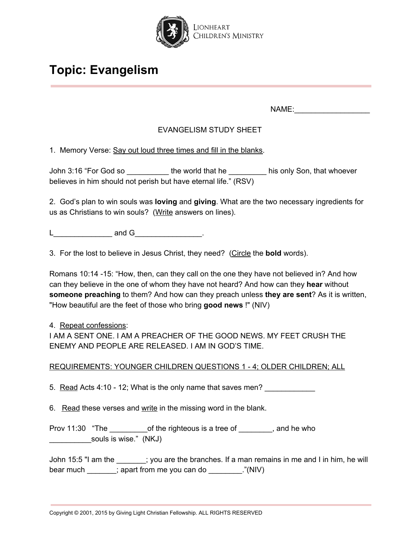

NAME:\_\_\_\_\_\_\_\_\_\_\_\_\_\_\_\_\_\_

# EVANGELISM STUDY SHEET

1. Memory Verse: Say out loud three times and fill in the blanks.

John 3:16 "For God so \_\_\_\_\_\_\_\_\_\_\_\_ the world that he \_\_\_\_\_\_\_\_\_\_\_ his only Son, that whoever believes in him should not perish but have eternal life." (RSV)

2. God's plan to win souls was **loving** and **giving**. What are the two necessary ingredients for us as Christians to win souls? (Write answers on lines).

 $L$  and G  $\qquad \qquad$  .

3. For the lost to believe in Jesus Christ, they need? (Circle the **bold** words).

Romans 10:14 -15: "How, then, can they call on the one they have not believed in? And how can they believe in the one of whom they have not heard? And how can they **hear** without **someone preaching** to them? And how can they preach unless **they are sent**? As it is written, "How beautiful are the feet of those who bring **good news** !" (NIV)

## 4. Repeat confessions:

I AM A SENT ONE. I AM A PREACHER OF THE GOOD NEWS. MY FEET CRUSH THE ENEMY AND PEOPLE ARE RELEASED. I AM IN GOD'S TIME.

## REQUIREMENTS: YOUNGER CHILDREN QUESTIONS 1 - 4; OLDER CHILDREN; ALL

5. Read Acts 4:10 - 12; What is the only name that saves men?

6. Read these verses and write in the missing word in the blank.

Prov 11:30 "The of the righteous is a tree of error than the who souls is wise." (NKJ)

John 15:5 "I am the \_\_\_\_\_\_\_; you are the branches. If a man remains in me and I in him, he will bear much \_\_\_\_\_\_; apart from me you can do \_\_\_\_\_\_\_\_."(NIV)